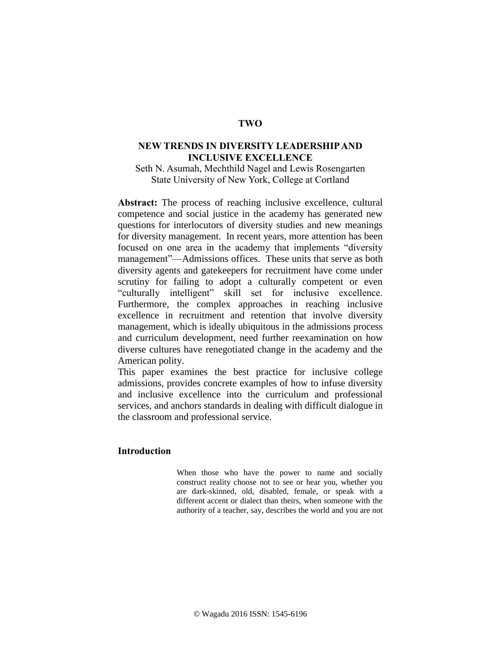# **TWO**

# **NEW TRENDS IN DIVERSITY LEADERSHIP AND INCLUSIVE EXCELLENCE**

Seth N. Asumah, Mechthild Nagel and Lewis Rosengarten State University of New York, College at Cortland

**Abstract:** The process of reaching inclusive excellence, cultural competence and social justice in the academy has generated new questions for interlocutors of diversity studies and new meanings for diversity management. In recent years, more attention has been focused on one area in the academy that implements "diversity management"—Admissions offices. These units that serve as both diversity agents and gatekeepers for recruitment have come under scrutiny for failing to adopt a culturally competent or even "culturally intelligent" skill set for inclusive excellence. Furthermore, the complex approaches in reaching inclusive excellence in recruitment and retention that involve diversity management, which is ideally ubiquitous in the admissions process and curriculum development, need further reexamination on how diverse cultures have renegotiated change in the academy and the American polity.

This paper examines the best practice for inclusive college admissions, provides concrete examples of how to infuse diversity and inclusive excellence into the curriculum and professional services, and anchors standards in dealing with difficult dialogue in the classroom and professional service.

# **Introduction**

When those who have the power to name and socially construct reality choose not to see or hear you, whether you are dark-skinned, old, disabled, female, or speak with a different accent or dialect than theirs, when someone with the authority of a teacher, say, describes the world and you are not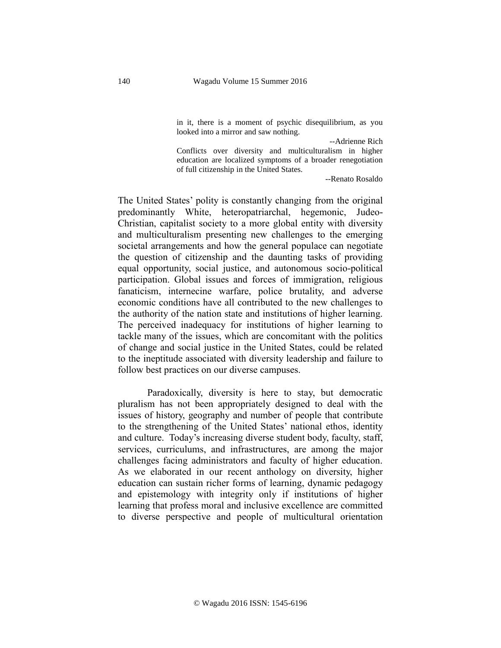in it, there is a moment of psychic disequilibrium, as you looked into a mirror and saw nothing.

--Adrienne Rich

Conflicts over diversity and multiculturalism in higher education are localized symptoms of a broader renegotiation of full citizenship in the United States.

--Renato Rosaldo

The United States' polity is constantly changing from the original predominantly White, heteropatriarchal, hegemonic, Judeo-Christian, capitalist society to a more global entity with diversity and multiculturalism presenting new challenges to the emerging societal arrangements and how the general populace can negotiate the question of citizenship and the daunting tasks of providing equal opportunity, social justice, and autonomous socio-political participation. Global issues and forces of immigration, religious fanaticism, internecine warfare, police brutality, and adverse economic conditions have all contributed to the new challenges to the authority of the nation state and institutions of higher learning. The perceived inadequacy for institutions of higher learning to tackle many of the issues, which are concomitant with the politics of change and social justice in the United States, could be related to the ineptitude associated with diversity leadership and failure to follow best practices on our diverse campuses.

Paradoxically, diversity is here to stay, but democratic pluralism has not been appropriately designed to deal with the issues of history, geography and number of people that contribute to the strengthening of the United States' national ethos, identity and culture. Today's increasing diverse student body, faculty, staff, services, curriculums, and infrastructures, are among the major challenges facing administrators and faculty of higher education. As we elaborated in our recent anthology on diversity, higher education can sustain richer forms of learning, dynamic pedagogy and epistemology with integrity only if institutions of higher learning that profess moral and inclusive excellence are committed to diverse perspective and people of multicultural orientation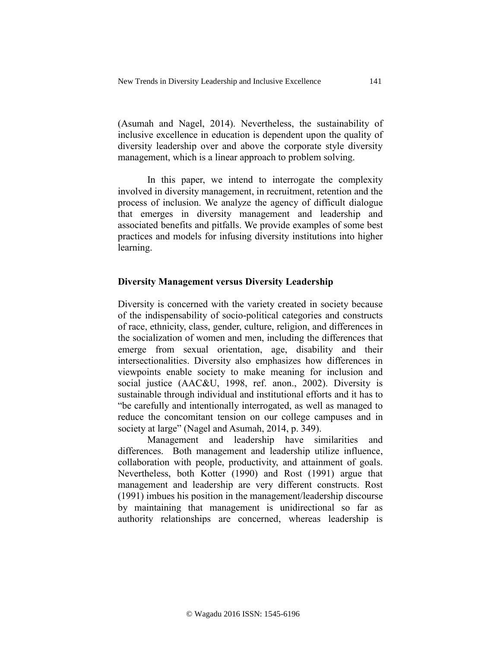(Asumah and Nagel, 2014). Nevertheless, the sustainability of inclusive excellence in education is dependent upon the quality of diversity leadership over and above the corporate style diversity management, which is a linear approach to problem solving.

In this paper, we intend to interrogate the complexity involved in diversity management, in recruitment, retention and the process of inclusion. We analyze the agency of difficult dialogue that emerges in diversity management and leadership and associated benefits and pitfalls. We provide examples of some best practices and models for infusing diversity institutions into higher learning.

## **Diversity Management versus Diversity Leadership**

Diversity is concerned with the variety created in society because of the indispensability of socio-political categories and constructs of race, ethnicity, class, gender, culture, religion, and differences in the socialization of women and men, including the differences that emerge from sexual orientation, age, disability and their intersectionalities. Diversity also emphasizes how differences in viewpoints enable society to make meaning for inclusion and social justice (AAC&U, 1998, ref. anon., 2002). Diversity is sustainable through individual and institutional efforts and it has to "be carefully and intentionally interrogated, as well as managed to reduce the concomitant tension on our college campuses and in society at large" (Nagel and Asumah, 2014, p. 349).

Management and leadership have similarities and differences. Both management and leadership utilize influence, collaboration with people, productivity, and attainment of goals. Nevertheless, both Kotter (1990) and Rost (1991) argue that management and leadership are very different constructs. Rost (1991) imbues his position in the management/leadership discourse by maintaining that management is unidirectional so far as authority relationships are concerned, whereas leadership is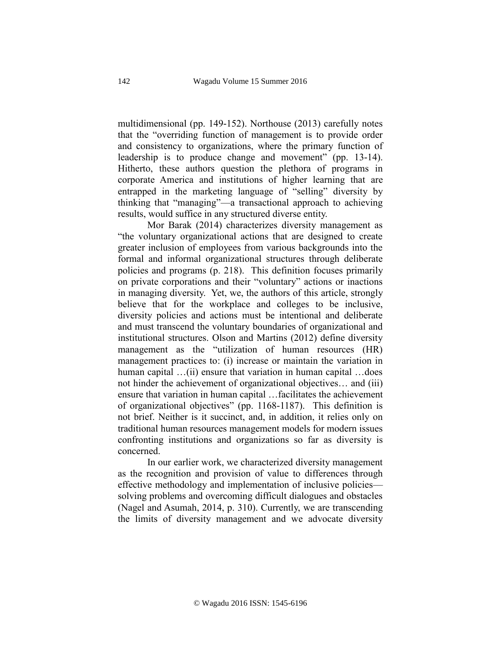multidimensional (pp. 149-152). Northouse (2013) carefully notes that the "overriding function of management is to provide order and consistency to organizations, where the primary function of leadership is to produce change and movement" (pp. 13-14). Hitherto, these authors question the plethora of programs in corporate America and institutions of higher learning that are entrapped in the marketing language of "selling" diversity by thinking that "managing"—a transactional approach to achieving results, would suffice in any structured diverse entity.

Mor Barak (2014) characterizes diversity management as "the voluntary organizational actions that are designed to create greater inclusion of employees from various backgrounds into the formal and informal organizational structures through deliberate policies and programs (p. 218). This definition focuses primarily on private corporations and their "voluntary" actions or inactions in managing diversity. Yet, we, the authors of this article, strongly believe that for the workplace and colleges to be inclusive, diversity policies and actions must be intentional and deliberate and must transcend the voluntary boundaries of organizational and institutional structures. Olson and Martins (2012) define diversity management as the "utilization of human resources (HR) management practices to: (i) increase or maintain the variation in human capital …(ii) ensure that variation in human capital …does not hinder the achievement of organizational objectives… and (iii) ensure that variation in human capital …facilitates the achievement of organizational objectives" (pp. 1168-1187). This definition is not brief. Neither is it succinct, and, in addition, it relies only on traditional human resources management models for modern issues confronting institutions and organizations so far as diversity is concerned.

In our earlier work, we characterized diversity management as the recognition and provision of value to differences through effective methodology and implementation of inclusive policies solving problems and overcoming difficult dialogues and obstacles (Nagel and Asumah, 2014, p. 310). Currently, we are transcending the limits of diversity management and we advocate diversity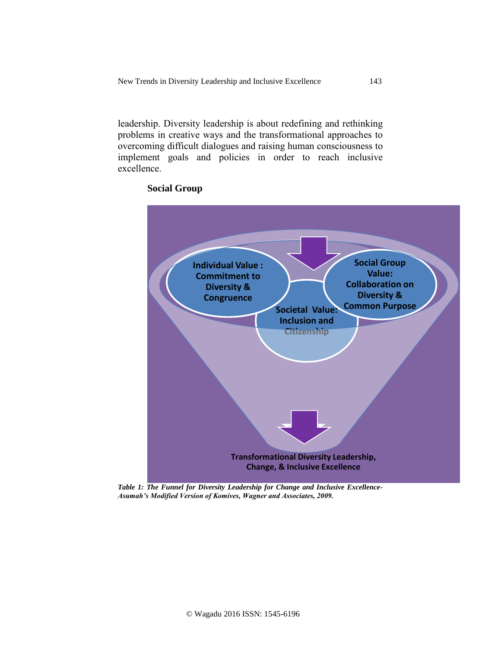leadership. Diversity leadership is about redefining and rethinking problems in creative ways and the transformational approaches to overcoming difficult dialogues and raising human consciousness to implement goals and policies in order to reach inclusive excellence.



# **Social Group**

*Table 1: The Funnel for Diversity Leadership for Change and Inclusive Excellence-Asumah's Modified Version of Komives, Wagner and Associates, 2009.*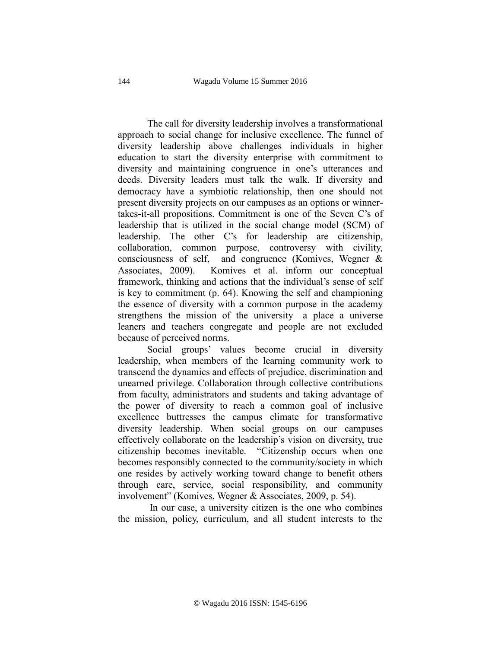The call for diversity leadership involves a transformational approach to social change for inclusive excellence. The funnel of diversity leadership above challenges individuals in higher education to start the diversity enterprise with commitment to diversity and maintaining congruence in one's utterances and deeds. Diversity leaders must talk the walk. If diversity and democracy have a symbiotic relationship, then one should not present diversity projects on our campuses as an options or winnertakes-it-all propositions. Commitment is one of the Seven C's of leadership that is utilized in the social change model (SCM) of leadership. The other C's for leadership are citizenship, collaboration, common purpose, controversy with civility, consciousness of self, and congruence (Komives, Wegner & Associates, 2009). Komives et al. inform our conceptual framework, thinking and actions that the individual's sense of self is key to commitment (p. 64). Knowing the self and championing the essence of diversity with a common purpose in the academy strengthens the mission of the university—a place a universe leaners and teachers congregate and people are not excluded because of perceived norms.

Social groups' values become crucial in diversity leadership, when members of the learning community work to transcend the dynamics and effects of prejudice, discrimination and unearned privilege. Collaboration through collective contributions from faculty, administrators and students and taking advantage of the power of diversity to reach a common goal of inclusive excellence buttresses the campus climate for transformative diversity leadership. When social groups on our campuses effectively collaborate on the leadership's vision on diversity, true citizenship becomes inevitable. "Citizenship occurs when one becomes responsibly connected to the community/society in which one resides by actively working toward change to benefit others through care, service, social responsibility, and community involvement" (Komives, Wegner & Associates, 2009, p. 54).

In our case, a university citizen is the one who combines the mission, policy, curriculum, and all student interests to the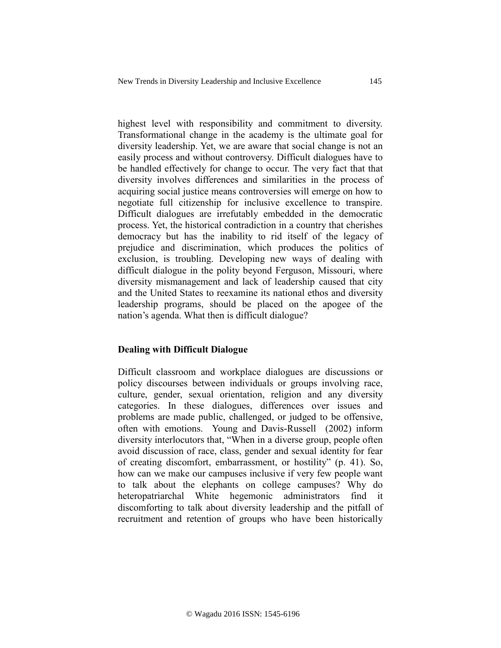highest level with responsibility and commitment to diversity. Transformational change in the academy is the ultimate goal for diversity leadership. Yet, we are aware that social change is not an easily process and without controversy. Difficult dialogues have to be handled effectively for change to occur. The very fact that that diversity involves differences and similarities in the process of acquiring social justice means controversies will emerge on how to negotiate full citizenship for inclusive excellence to transpire. Difficult dialogues are irrefutably embedded in the democratic process. Yet, the historical contradiction in a country that cherishes democracy but has the inability to rid itself of the legacy of prejudice and discrimination, which produces the politics of exclusion, is troubling. Developing new ways of dealing with difficult dialogue in the polity beyond Ferguson, Missouri, where diversity mismanagement and lack of leadership caused that city and the United States to reexamine its national ethos and diversity leadership programs, should be placed on the apogee of the nation's agenda. What then is difficult dialogue?

## **Dealing with Difficult Dialogue**

Difficult classroom and workplace dialogues are discussions or policy discourses between individuals or groups involving race, culture, gender, sexual orientation, religion and any diversity categories. In these dialogues, differences over issues and problems are made public, challenged, or judged to be offensive, often with emotions. Young and Davis-Russell (2002) inform diversity interlocutors that, "When in a diverse group, people often avoid discussion of race, class, gender and sexual identity for fear of creating discomfort, embarrassment, or hostility" (p. 41). So, how can we make our campuses inclusive if very few people want to talk about the elephants on college campuses? Why do heteropatriarchal White hegemonic administrators find it discomforting to talk about diversity leadership and the pitfall of recruitment and retention of groups who have been historically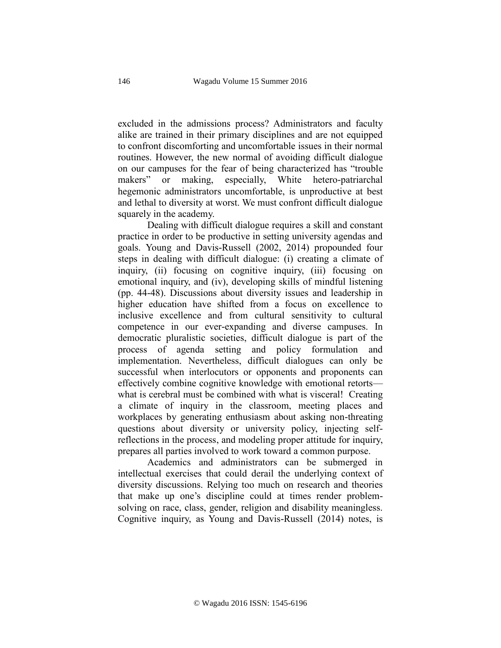excluded in the admissions process? Administrators and faculty alike are trained in their primary disciplines and are not equipped to confront discomforting and uncomfortable issues in their normal routines. However, the new normal of avoiding difficult dialogue on our campuses for the fear of being characterized has "trouble makers" or making, especially, White hetero-patriarchal hegemonic administrators uncomfortable, is unproductive at best and lethal to diversity at worst. We must confront difficult dialogue squarely in the academy.

Dealing with difficult dialogue requires a skill and constant practice in order to be productive in setting university agendas and goals. Young and Davis-Russell (2002, 2014) propounded four steps in dealing with difficult dialogue: (i) creating a climate of inquiry, (ii) focusing on cognitive inquiry, (iii) focusing on emotional inquiry, and (iv), developing skills of mindful listening (pp. 44-48). Discussions about diversity issues and leadership in higher education have shifted from a focus on excellence to inclusive excellence and from cultural sensitivity to cultural competence in our ever-expanding and diverse campuses. In democratic pluralistic societies, difficult dialogue is part of the process of agenda setting and policy formulation and implementation. Nevertheless, difficult dialogues can only be successful when interlocutors or opponents and proponents can effectively combine cognitive knowledge with emotional retorts what is cerebral must be combined with what is visceral! Creating a climate of inquiry in the classroom, meeting places and workplaces by generating enthusiasm about asking non-threating questions about diversity or university policy, injecting selfreflections in the process, and modeling proper attitude for inquiry, prepares all parties involved to work toward a common purpose.

Academics and administrators can be submerged in intellectual exercises that could derail the underlying context of diversity discussions. Relying too much on research and theories that make up one's discipline could at times render problemsolving on race, class, gender, religion and disability meaningless. Cognitive inquiry, as Young and Davis-Russell (2014) notes, is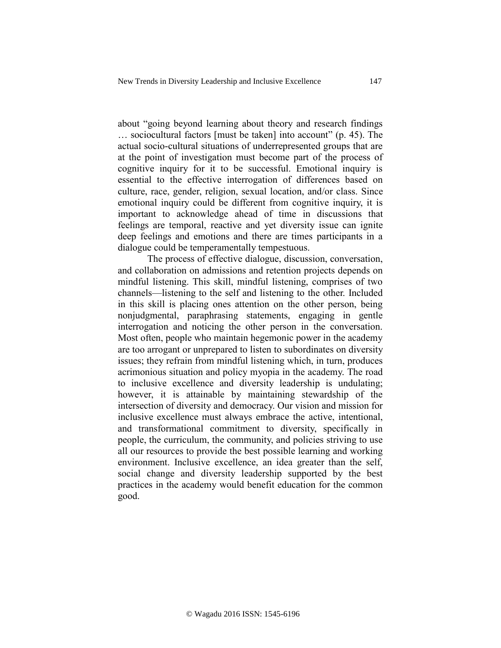about "going beyond learning about theory and research findings … sociocultural factors [must be taken] into account" (p. 45). The actual socio-cultural situations of underrepresented groups that are at the point of investigation must become part of the process of cognitive inquiry for it to be successful. Emotional inquiry is essential to the effective interrogation of differences based on culture, race, gender, religion, sexual location, and/or class. Since emotional inquiry could be different from cognitive inquiry, it is important to acknowledge ahead of time in discussions that feelings are temporal, reactive and yet diversity issue can ignite deep feelings and emotions and there are times participants in a dialogue could be temperamentally tempestuous.

The process of effective dialogue, discussion, conversation, and collaboration on admissions and retention projects depends on mindful listening. This skill, mindful listening, comprises of two channels—listening to the self and listening to the other. Included in this skill is placing ones attention on the other person, being nonjudgmental, paraphrasing statements, engaging in gentle interrogation and noticing the other person in the conversation. Most often, people who maintain hegemonic power in the academy are too arrogant or unprepared to listen to subordinates on diversity issues; they refrain from mindful listening which, in turn, produces acrimonious situation and policy myopia in the academy. The road to inclusive excellence and diversity leadership is undulating; however, it is attainable by maintaining stewardship of the intersection of diversity and democracy. Our vision and mission for inclusive excellence must always embrace the active, intentional, and transformational commitment to diversity, specifically in people, the curriculum, the community, and policies striving to use all our resources to provide the best possible learning and working environment. Inclusive excellence, an idea greater than the self, social change and diversity leadership supported by the best practices in the academy would benefit education for the common good.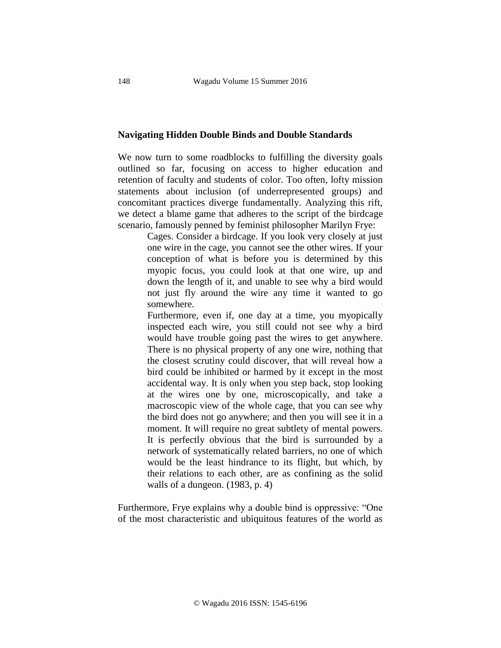#### **Navigating Hidden Double Binds and Double Standards**

We now turn to some roadblocks to fulfilling the diversity goals outlined so far, focusing on access to higher education and retention of faculty and students of color. Too often, lofty mission statements about inclusion (of underrepresented groups) and concomitant practices diverge fundamentally. Analyzing this rift, we detect a blame game that adheres to the script of the birdcage scenario, famously penned by feminist philosopher Marilyn Frye:

> Cages. Consider a birdcage. If you look very closely at just one wire in the cage, you cannot see the other wires. If your conception of what is before you is determined by this myopic focus, you could look at that one wire, up and down the length of it, and unable to see why a bird would not just fly around the wire any time it wanted to go somewhere.

> Furthermore, even if, one day at a time, you myopically inspected each wire, you still could not see why a bird would have trouble going past the wires to get anywhere. There is no physical property of any one wire, nothing that the closest scrutiny could discover, that will reveal how a bird could be inhibited or harmed by it except in the most accidental way. It is only when you step back, stop looking at the wires one by one, microscopically, and take a macroscopic view of the whole cage, that you can see why the bird does not go anywhere; and then you will see it in a moment. It will require no great subtlety of mental powers. It is perfectly obvious that the bird is surrounded by a network of systematically related barriers, no one of which would be the least hindrance to its flight, but which, by their relations to each other, are as confining as the solid walls of a dungeon. (1983, p. 4)

Furthermore, Frye explains why a double bind is oppressive: "One of the most characteristic and ubiquitous features of the world as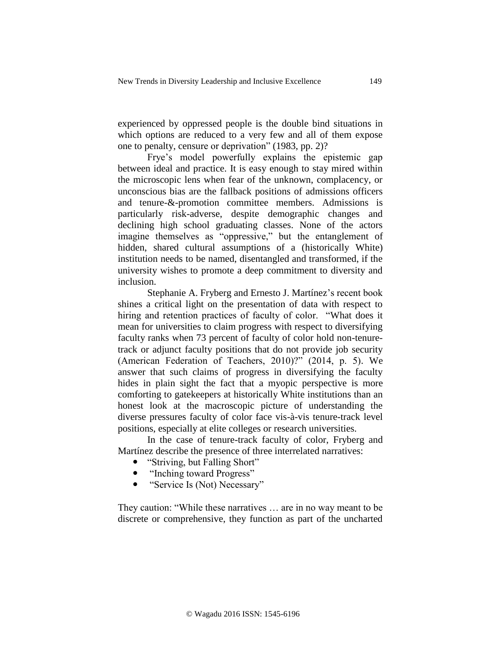experienced by oppressed people is the double bind situations in which options are reduced to a very few and all of them expose one to penalty, censure or deprivation" (1983, pp. 2)?

Frye's model powerfully explains the epistemic gap between ideal and practice. It is easy enough to stay mired within the microscopic lens when fear of the unknown, complacency, or unconscious bias are the fallback positions of admissions officers and tenure-&-promotion committee members. Admissions is particularly risk-adverse, despite demographic changes and declining high school graduating classes. None of the actors imagine themselves as "oppressive," but the entanglement of hidden, shared cultural assumptions of a (historically White) institution needs to be named, disentangled and transformed, if the university wishes to promote a deep commitment to diversity and inclusion.

Stephanie A. Fryberg and Ernesto J. Martínez's recent book shines a critical light on the presentation of data with respect to hiring and retention practices of faculty of color. "What does it mean for universities to claim progress with respect to diversifying faculty ranks when 73 percent of faculty of color hold non-tenuretrack or adjunct faculty positions that do not provide job security (American Federation of Teachers, 2010)?" (2014, p. 5). We answer that such claims of progress in diversifying the faculty hides in plain sight the fact that a myopic perspective is more comforting to gatekeepers at historically White institutions than an honest look at the macroscopic picture of understanding the diverse pressures faculty of color face vis-à-vis tenure-track level positions, especially at elite colleges or research universities.

In the case of tenure-track faculty of color, Fryberg and Martínez describe the presence of three interrelated narratives:

- "Striving, but Falling Short"
- "Inching toward Progress"
- "Service Is (Not) Necessary"

They caution: "While these narratives … are in no way meant to be discrete or comprehensive, they function as part of the uncharted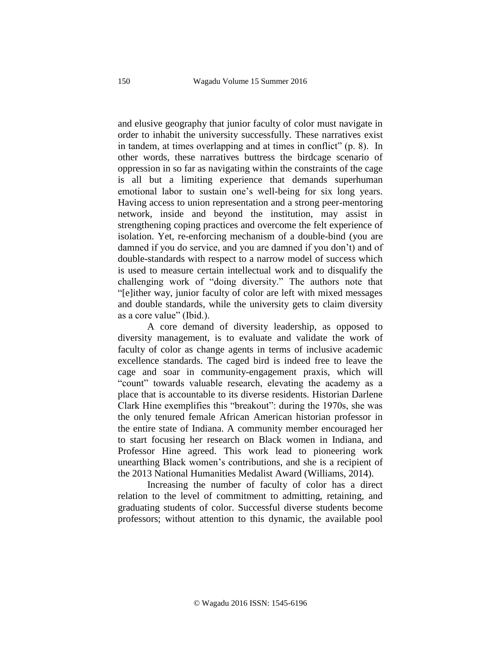and elusive geography that junior faculty of color must navigate in order to inhabit the university successfully. These narratives exist in tandem, at times overlapping and at times in conflict" (p. 8). In other words, these narratives buttress the birdcage scenario of oppression in so far as navigating within the constraints of the cage is all but a limiting experience that demands superhuman emotional labor to sustain one's well-being for six long years. Having access to union representation and a strong peer-mentoring network, inside and beyond the institution, may assist in strengthening coping practices and overcome the felt experience of isolation. Yet, re-enforcing mechanism of a double-bind (you are damned if you do service, and you are damned if you don't) and of double-standards with respect to a narrow model of success which is used to measure certain intellectual work and to disqualify the challenging work of "doing diversity." The authors note that "[e]ither way, junior faculty of color are left with mixed messages and double standards, while the university gets to claim diversity as a core value" (Ibid.).

A core demand of diversity leadership, as opposed to diversity management, is to evaluate and validate the work of faculty of color as change agents in terms of inclusive academic excellence standards. The caged bird is indeed free to leave the cage and soar in community-engagement praxis, which will "count" towards valuable research, elevating the academy as a place that is accountable to its diverse residents. Historian Darlene Clark Hine exemplifies this "breakout": during the 1970s, she was the only tenured female African American historian professor in the entire state of Indiana. A community member encouraged her to start focusing her research on Black women in Indiana, and Professor Hine agreed. This work lead to pioneering work unearthing Black women's contributions, and she is a recipient of the 2013 National Humanities Medalist Award (Williams, 2014).

Increasing the number of faculty of color has a direct relation to the level of commitment to admitting, retaining, and graduating students of color. Successful diverse students become professors; without attention to this dynamic, the available pool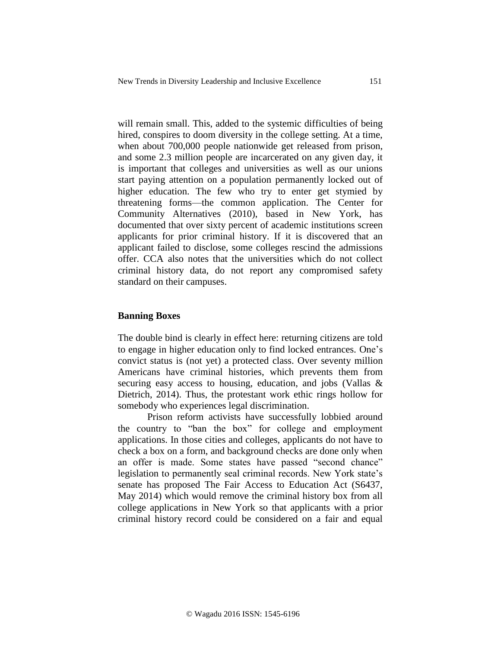will remain small. This, added to the systemic difficulties of being hired, conspires to doom diversity in the college setting. At a time, when about 700,000 people nationwide get released from prison, and some 2.3 million people are incarcerated on any given day, it is important that colleges and universities as well as our unions start paying attention on a population permanently locked out of higher education. The few who try to enter get stymied by threatening forms—the common application. The Center for Community Alternatives (2010), based in New York, has documented that over sixty percent of academic institutions screen applicants for prior criminal history. If it is discovered that an applicant failed to disclose, some colleges rescind the admissions offer. CCA also notes that the universities which do not collect criminal history data, do not report any compromised safety standard on their campuses.

## **Banning Boxes**

The double bind is clearly in effect here: returning citizens are told to engage in higher education only to find locked entrances. One's convict status is (not yet) a protected class. Over seventy million Americans have criminal histories, which prevents them from securing easy access to housing, education, and jobs (Vallas & Dietrich, 2014). Thus, the protestant work ethic rings hollow for somebody who experiences legal discrimination.

Prison reform activists have successfully lobbied around the country to "ban the box" for college and employment applications. In those cities and colleges, applicants do not have to check a box on a form, and background checks are done only when an offer is made. Some states have passed "second chance" legislation to permanently seal criminal records. New York state's senate has proposed The Fair Access to Education Act (S6437, May 2014) which would remove the criminal history box from all college applications in New York so that applicants with a prior criminal history record could be considered on a fair and equal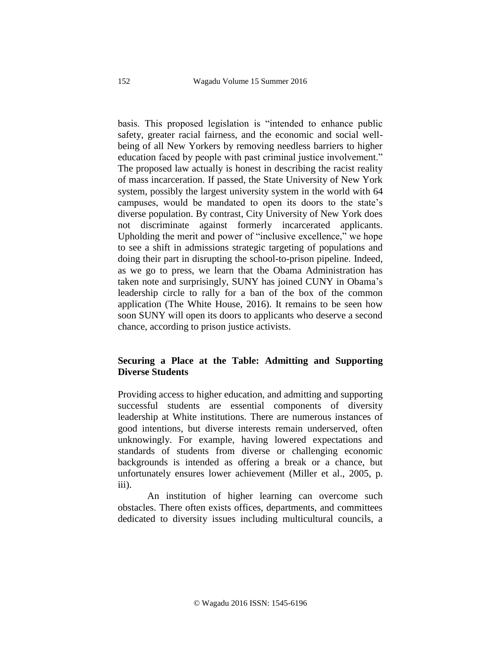basis. This proposed legislation is "intended to enhance public safety, greater racial fairness, and the economic and social wellbeing of all New Yorkers by removing needless barriers to higher education faced by people with past criminal justice involvement." The proposed law actually is honest in describing the racist reality of mass incarceration. If passed, the State University of New York system, possibly the largest university system in the world with 64 campuses, would be mandated to open its doors to the state's diverse population. By contrast, City University of New York does not discriminate against formerly incarcerated applicants. Upholding the merit and power of "inclusive excellence," we hope to see a shift in admissions strategic targeting of populations and doing their part in disrupting the school-to-prison pipeline. Indeed, as we go to press, we learn that the Obama Administration has taken note and surprisingly, SUNY has joined CUNY in Obama's leadership circle to rally for a ban of the box of the common application (The White House, 2016). It remains to be seen how soon SUNY will open its doors to applicants who deserve a second chance, according to prison justice activists.

# **Securing a Place at the Table: Admitting and Supporting Diverse Students**

Providing access to higher education, and admitting and supporting successful students are essential components of diversity leadership at White institutions. There are numerous instances of good intentions, but diverse interests remain underserved, often unknowingly. For example, having lowered expectations and standards of students from diverse or challenging economic backgrounds is intended as offering a break or a chance, but unfortunately ensures lower achievement (Miller et al., 2005, p. iii).

An institution of higher learning can overcome such obstacles. There often exists offices, departments, and committees dedicated to diversity issues including multicultural councils, a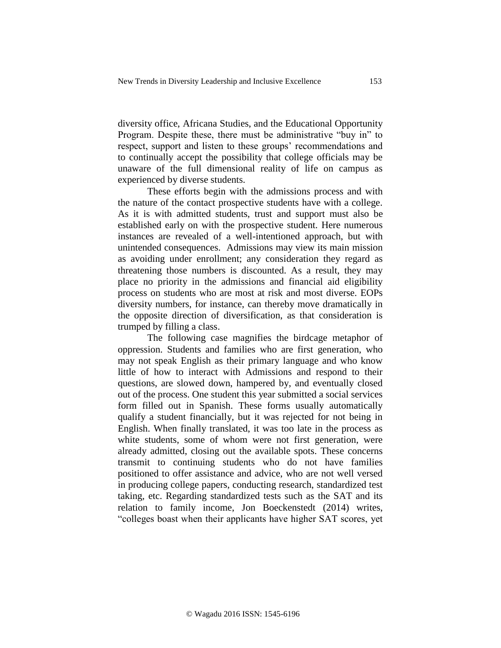diversity office, Africana Studies, and the Educational Opportunity Program. Despite these, there must be administrative "buy in" to respect, support and listen to these groups' recommendations and to continually accept the possibility that college officials may be unaware of the full dimensional reality of life on campus as experienced by diverse students.

These efforts begin with the admissions process and with the nature of the contact prospective students have with a college. As it is with admitted students, trust and support must also be established early on with the prospective student. Here numerous instances are revealed of a well-intentioned approach, but with unintended consequences. Admissions may view its main mission as avoiding under enrollment; any consideration they regard as threatening those numbers is discounted. As a result, they may place no priority in the admissions and financial aid eligibility process on students who are most at risk and most diverse. EOPs diversity numbers, for instance, can thereby move dramatically in the opposite direction of diversification, as that consideration is trumped by filling a class.

The following case magnifies the birdcage metaphor of oppression. Students and families who are first generation, who may not speak English as their primary language and who know little of how to interact with Admissions and respond to their questions, are slowed down, hampered by, and eventually closed out of the process. One student this year submitted a social services form filled out in Spanish. These forms usually automatically qualify a student financially, but it was rejected for not being in English. When finally translated, it was too late in the process as white students, some of whom were not first generation, were already admitted, closing out the available spots. These concerns transmit to continuing students who do not have families positioned to offer assistance and advice, who are not well versed in producing college papers, conducting research, standardized test taking, etc. Regarding standardized tests such as the SAT and its relation to family income, Jon Boeckenstedt (2014) writes, "colleges boast when their applicants have higher SAT scores, yet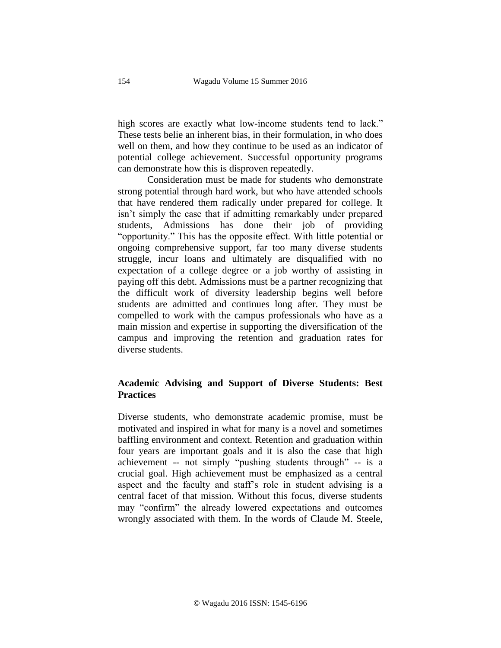high scores are exactly what low-income students tend to lack." These tests belie an inherent bias, in their formulation, in who does well on them, and how they continue to be used as an indicator of potential college achievement. Successful opportunity programs can demonstrate how this is disproven repeatedly.

Consideration must be made for students who demonstrate strong potential through hard work, but who have attended schools that have rendered them radically under prepared for college. It isn't simply the case that if admitting remarkably under prepared students, Admissions has done their job of providing "opportunity." This has the opposite effect. With little potential or ongoing comprehensive support, far too many diverse students struggle, incur loans and ultimately are disqualified with no expectation of a college degree or a job worthy of assisting in paying off this debt. Admissions must be a partner recognizing that the difficult work of diversity leadership begins well before students are admitted and continues long after. They must be compelled to work with the campus professionals who have as a main mission and expertise in supporting the diversification of the campus and improving the retention and graduation rates for diverse students.

# **Academic Advising and Support of Diverse Students: Best Practices**

Diverse students, who demonstrate academic promise, must be motivated and inspired in what for many is a novel and sometimes baffling environment and context. Retention and graduation within four years are important goals and it is also the case that high achievement -- not simply "pushing students through" -- is a crucial goal. High achievement must be emphasized as a central aspect and the faculty and staff's role in student advising is a central facet of that mission. Without this focus, diverse students may "confirm" the already lowered expectations and outcomes wrongly associated with them. In the words of Claude M. Steele,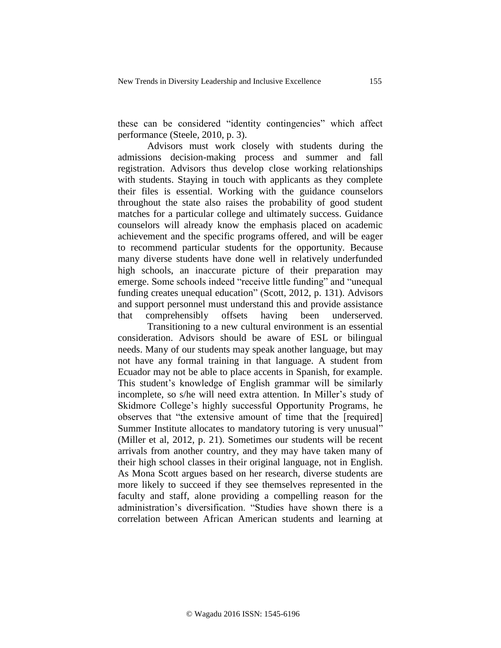these can be considered "identity contingencies" which affect performance (Steele, 2010, p. 3).

Advisors must work closely with students during the admissions decision-making process and summer and fall registration. Advisors thus develop close working relationships with students. Staying in touch with applicants as they complete their files is essential. Working with the guidance counselors throughout the state also raises the probability of good student matches for a particular college and ultimately success. Guidance counselors will already know the emphasis placed on academic achievement and the specific programs offered, and will be eager to recommend particular students for the opportunity. Because many diverse students have done well in relatively underfunded high schools, an inaccurate picture of their preparation may emerge. Some schools indeed "receive little funding" and "unequal funding creates unequal education" (Scott, 2012, p. 131). Advisors and support personnel must understand this and provide assistance that comprehensibly offsets having been underserved.

Transitioning to a new cultural environment is an essential consideration. Advisors should be aware of ESL or bilingual needs. Many of our students may speak another language, but may not have any formal training in that language. A student from Ecuador may not be able to place accents in Spanish, for example. This student's knowledge of English grammar will be similarly incomplete, so s/he will need extra attention. In Miller's study of Skidmore College's highly successful Opportunity Programs, he observes that "the extensive amount of time that the [required] Summer Institute allocates to mandatory tutoring is very unusual" (Miller et al, 2012, p. 21). Sometimes our students will be recent arrivals from another country, and they may have taken many of their high school classes in their original language, not in English. As Mona Scott argues based on her research, diverse students are more likely to succeed if they see themselves represented in the faculty and staff, alone providing a compelling reason for the administration's diversification. "Studies have shown there is a correlation between African American students and learning at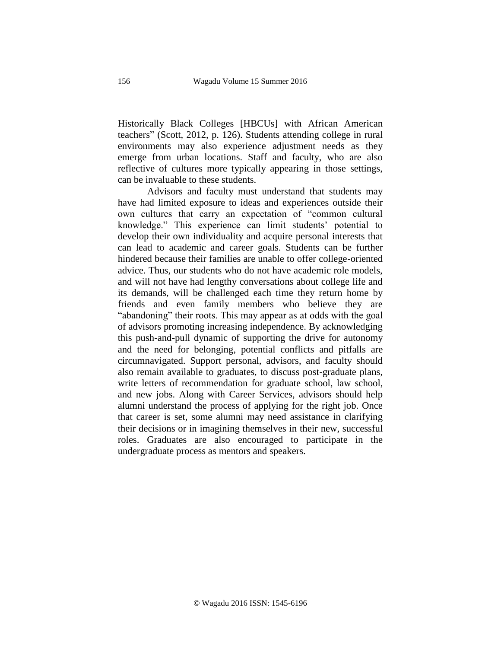Historically Black Colleges [HBCUs] with African American teachers" (Scott, 2012, p. 126). Students attending college in rural environments may also experience adjustment needs as they emerge from urban locations. Staff and faculty, who are also reflective of cultures more typically appearing in those settings, can be invaluable to these students.

Advisors and faculty must understand that students may have had limited exposure to ideas and experiences outside their own cultures that carry an expectation of "common cultural knowledge." This experience can limit students' potential to develop their own individuality and acquire personal interests that can lead to academic and career goals. Students can be further hindered because their families are unable to offer college-oriented advice. Thus, our students who do not have academic role models, and will not have had lengthy conversations about college life and its demands, will be challenged each time they return home by friends and even family members who believe they are "abandoning" their roots. This may appear as at odds with the goal of advisors promoting increasing independence. By acknowledging this push-and-pull dynamic of supporting the drive for autonomy and the need for belonging, potential conflicts and pitfalls are circumnavigated. Support personal, advisors, and faculty should also remain available to graduates, to discuss post-graduate plans, write letters of recommendation for graduate school, law school, and new jobs. Along with Career Services, advisors should help alumni understand the process of applying for the right job. Once that career is set, some alumni may need assistance in clarifying their decisions or in imagining themselves in their new, successful roles. Graduates are also encouraged to participate in the undergraduate process as mentors and speakers.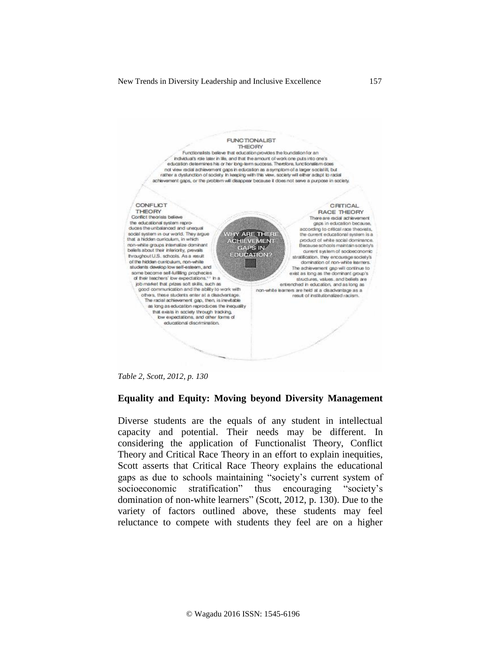

*Table 2, Scott, 2012, p. 130*

## **Equality and Equity: Moving beyond Diversity Management**

Diverse students are the equals of any student in intellectual capacity and potential. Their needs may be different. In considering the application of Functionalist Theory, Conflict Theory and Critical Race Theory in an effort to explain inequities, Scott asserts that Critical Race Theory explains the educational gaps as due to schools maintaining "society's current system of socioeconomic stratification" thus encouraging "society's domination of non-white learners" (Scott, 2012, p. 130). Due to the variety of factors outlined above, these students may feel reluctance to compete with students they feel are on a higher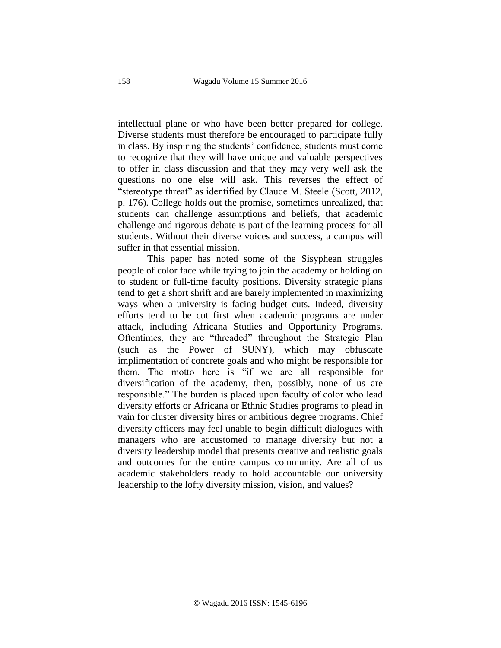intellectual plane or who have been better prepared for college. Diverse students must therefore be encouraged to participate fully in class. By inspiring the students' confidence, students must come to recognize that they will have unique and valuable perspectives to offer in class discussion and that they may very well ask the questions no one else will ask. This reverses the effect of "stereotype threat" as identified by Claude M. Steele (Scott, 2012, p. 176). College holds out the promise, sometimes unrealized, that students can challenge assumptions and beliefs, that academic challenge and rigorous debate is part of the learning process for all students. Without their diverse voices and success, a campus will suffer in that essential mission.

This paper has noted some of the Sisyphean struggles people of color face while trying to join the academy or holding on to student or full-time faculty positions. Diversity strategic plans tend to get a short shrift and are barely implemented in maximizing ways when a university is facing budget cuts. Indeed, diversity efforts tend to be cut first when academic programs are under attack, including Africana Studies and Opportunity Programs. Oftentimes, they are "threaded" throughout the Strategic Plan (such as the Power of SUNY), which may obfuscate implimentation of concrete goals and who might be responsible for them. The motto here is "if we are all responsible for diversification of the academy, then, possibly, none of us are responsible." The burden is placed upon faculty of color who lead diversity efforts or Africana or Ethnic Studies programs to plead in vain for cluster diversity hires or ambitious degree programs. Chief diversity officers may feel unable to begin difficult dialogues with managers who are accustomed to manage diversity but not a diversity leadership model that presents creative and realistic goals and outcomes for the entire campus community. Are all of us academic stakeholders ready to hold accountable our university leadership to the lofty diversity mission, vision, and values?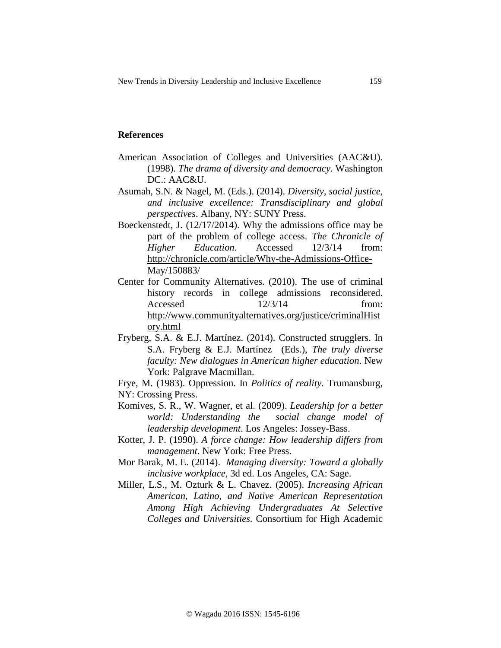## **References**

- American Association of Colleges and Universities (AAC&U). (1998). *The drama of diversity and democracy*. Washington DC.: AAC&U.
- Asumah, S.N. & Nagel, M. (Eds.). (2014). *Diversity, social justice, and inclusive excellence: Transdisciplinary and global perspectives*. Albany, NY: SUNY Press.
- Boeckenstedt, J. (12/17/2014). Why the admissions office may be part of the problem of college access. *The Chronicle of Higher Education*. Accessed 12/3/14 from: [http://chronicle.com/article/Why-the-Admissions-Office-](http://chronicle.com/article/Why-the-Admissions-Office-May/150883/)[May/150883/](http://chronicle.com/article/Why-the-Admissions-Office-May/150883/)
- Center for Community Alternatives. (2010). [The use of criminal](http://www.communityalternatives.org/pdf/Reconsidered-criminal-hist-recs-in-college-admissions.pdf)  [history records in college admissions reconsidered.](http://www.communityalternatives.org/pdf/Reconsidered-criminal-hist-recs-in-college-admissions.pdf)  $Accessed$   $12/3/14$  from: [http://www.communityalternatives.org/justice/criminalHist](http://www.communityalternatives.org/justice/criminalHistory.html) [ory.html](http://www.communityalternatives.org/justice/criminalHistory.html)
- Fryberg, S.A. & E.J. Martínez. (2014). Constructed strugglers. In S.A. Fryberg & E.J. Martínez (Eds.), *The truly diverse faculty: New dialogues in American higher education*. New York: Palgrave Macmillan.
- Frye, M. (1983). Oppression. In *Politics of reality*. Trumansburg, NY: Crossing Press.
- Komives, S. R., W. Wagner, et al. (2009). *Leadership for a better world: Understanding the social change model of leadership development*. Los Angeles: Jossey-Bass.
- Kotter, J. P. (1990). *A force change: How leadership differs from management*. New York: Free Press.
- Mor Barak, M. E. (2014). *Managing diversity: Toward a globally inclusive workplace*, 3d ed. Los Angeles, CA: Sage.
- Miller, L.S., M. Ozturk & L. Chavez. (2005). *Increasing African American, Latino, and Native American Representation Among High Achieving Undergraduates At Selective Colleges and Universities.* Consortium for High Academic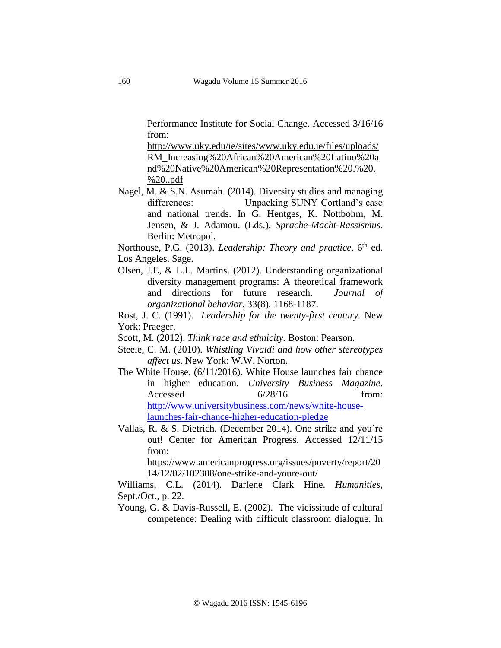Performance Institute for Social Change. Accessed 3/16/16 from:

[http://www.uky.edu/ie/sites/www.uky.edu.ie/files/uploads/](http://www.uky.edu/ie/sites/www.uky.edu.ie/files/uploads/RM_Increasing%20African%20American%20Latino%20and%20Native%20American%20Representation%20.%20.%20..pdf) [RM\\_Increasing%20African%20American%20Latino%20a](http://www.uky.edu/ie/sites/www.uky.edu.ie/files/uploads/RM_Increasing%20African%20American%20Latino%20and%20Native%20American%20Representation%20.%20.%20..pdf) [nd%20Native%20American%20Representation%20.%20.](http://www.uky.edu/ie/sites/www.uky.edu.ie/files/uploads/RM_Increasing%20African%20American%20Latino%20and%20Native%20American%20Representation%20.%20.%20..pdf) [%20..pdf](http://www.uky.edu/ie/sites/www.uky.edu.ie/files/uploads/RM_Increasing%20African%20American%20Latino%20and%20Native%20American%20Representation%20.%20.%20..pdf)

Nagel, M. & S.N. Asumah. (2014). Diversity studies and managing differences: Unpacking SUNY Cortland's case and national trends. In G. Hentges, K. Nottbohm, M. Jensen, & J. Adamou. (Eds.), *Sprache-Macht-Rassismus.* Berlin: Metropol.

Northouse, P.G. (2013). *Leadership: Theory and practice*, 6<sup>th</sup> ed. Los Angeles. Sage.

- Olsen, J.E, & L.L. Martins. (2012). Understanding organizational diversity management programs: A theoretical framework and directions for future research. *Journal of organizational behavior,* 33(8), 1168-1187.
- Rost, J. C. (1991). *Leadership for the twenty-first century.* New York: Praeger.
- Scott, M. (2012). *Think race and ethnicity.* Boston: Pearson.
- Steele, C. M. (2010). *Whistling Vivaldi and how other stereotypes affect us*. New York: W.W. Norton.
- The White House. (6/11/2016). White House launches fair chance in higher education. *University Business Magazine*. Accessed 6/28/16 from: [http://www.universitybusiness.com/news/white-house](http://www.universitybusiness.com/news/white-house-launches-fair-chance-higher-education-pledge)[launches-fair-chance-higher-education-pledge](http://www.universitybusiness.com/news/white-house-launches-fair-chance-higher-education-pledge)
- Vallas, R. & S. Dietrich. (December 2014). One strike and you're out! Center for American Progress. Accessed 12/11/15 from:

[https://www.americanprogress.org/issues/poverty/report/20](https://www.americanprogress.org/issues/poverty/report/2014/12/02/102308/one-strike-and-youre-out/) [14/12/02/102308/one-strike-and-youre-out/](https://www.americanprogress.org/issues/poverty/report/2014/12/02/102308/one-strike-and-youre-out/)

Williams, C.L. (2014). Darlene Clark Hine. *Humanities*, Sept./Oct., p. 22.

Young, G. & Davis-Russell, E. (2002). The vicissitude of cultural competence: Dealing with difficult classroom dialogue. In